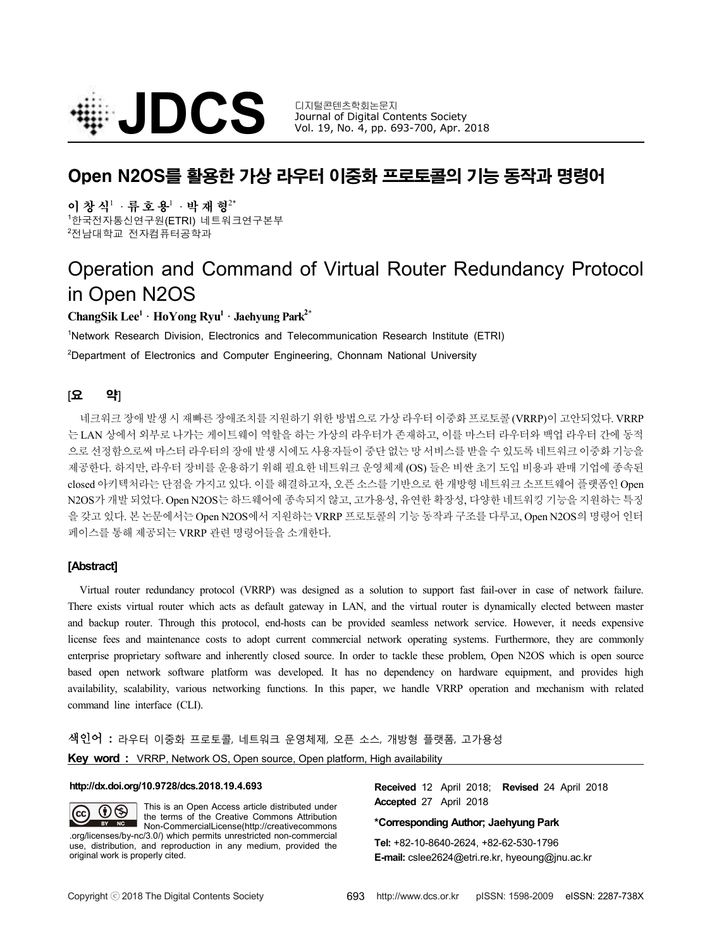

Journal of Digital Contents Society Vol. 19, No. 4, pp. 693-700, Apr. 2018

# Open N2OS를 활용한 가상 라우터 이중화 프로토콜의 기능 동작과 명령어

이 창 식<sup>1</sup> · 류 호 용<sup>1</sup> · 박 재 형<sup>2\*</sup>

<sup>1</sup>한국전자통신연구원(ETRI) 네트워크연구본부 <sup>2</sup>전남대학교 전자컴퓨터공학과

# Operation and Command of Virtual Router Redundancy Protocol in Open N2OS

## **ChangSik Lee<sup>1</sup> · HoYong Ryu<sup>1</sup> · Jaehyung Park<sup>2</sup>**\*

<sup>1</sup>Network Research Division, Electronics and Telecommunication Research Institute (ETRI) <sup>2</sup>Department of Electronics and Computer Engineering, Chonnam National University

## [요 약]

네크워크 장애 발생 시 재빠른 장애조치를 지원하기 위한 방법으로 가상 라우터 이중화 프로토콜 (VRRP)이 고안되었다. VRRP 는 LAN 상에서 외부로 나가는 게이트웨이 역할을 하는 가상의 라우터가 존재하고, 이를 마스터 라우터와 백업 라우터 간에 동적 으로 선정함으로써 마스터 라우터의 장애 발생 시에도 사용자들이 중단 없는 망 서비스를 받을 수 있도록 네트워크 이중화 기능을 제공한다. 하지만, 라우터 장비를 운용하기 위해 필요한 네트워크 운영체제 (OS) 들은 비싼 초기 도입 비용과 판매 기업에 종속된 closed 아키텍처라는 단점을 가지고 있다. 이를 해결하고자, 오픈 소스를 기반으로 한 개방형 네트워크 소프트웨어 플랫폼인 Open N2OS가 개발 되었다. Open N2OS는 하드웨어에 종속되지 않고, 고가용성, 유연한 확장성, 다양한 네트워킹 기능을 지원하는 특징 을 갖고 있다. 본 논문에서는 Open N2OS에서 지원하는 VRRP 프로토콜의 기능 동작과 구조를 다루고, Open N2OS의 명령어 인터 페이스를 통해 제공되는 VRRP 관련 명령어들을 소개한다.

## **[Abstract]**

Virtual router redundancy protocol (VRRP) was designed as a solution to support fast fail-over in case of network failure. There exists virtual router which acts as default gateway in LAN, and the virtual router is dynamically elected between master and backup router. Through this protocol, end-hosts can be provided seamless network service. However, it needs expensive license fees and maintenance costs to adopt current commercial network operating systems. Furthermore, they are commonly enterprise proprietary software and inherently closed source. In order to tackle these problem, Open N2OS which is open source<br>based open network software platform was developed. It has no dependency on hardware equipment, availability, scalability, various networking functions. In this paper, we handle VRRP operation and mechanism with related command line interface (CLI).

# 색인어 **:** 라우터 이중화 프로토콜, 네트워크 운영체제, 오픈 소스, 개방형 플랫폼, 고가용성

| <b>Key word:</b> VRRP, Network OS, Open source, Open platform, High availability |  |
|----------------------------------------------------------------------------------|--|
|----------------------------------------------------------------------------------|--|

#### **http://dx.doi.org/10.9728/dcs.2018.19.4.693**

This is an Open Access article distributed under  $\circledR$ (cc the terms of the Creative Commons Attribution BY NC Non-CommercialLicense(http://creativecommons .org/licenses/by-nc/3.0/) which permits unrestricted non-commercial use, distribution, and reproduction in any medium, provided the original work is properly cited.

**Received** 12 April 2018; **Revised** 24 April 2018 **Accepted** 27 April 2018

#### **\*Corresponding Author; Jaehyung Park**

**Tel:** +82-10-8640-2624, +82-62-530-1796 **E-mail:** cslee2624@etri.re.kr, hyeoung@jnu.ac.kr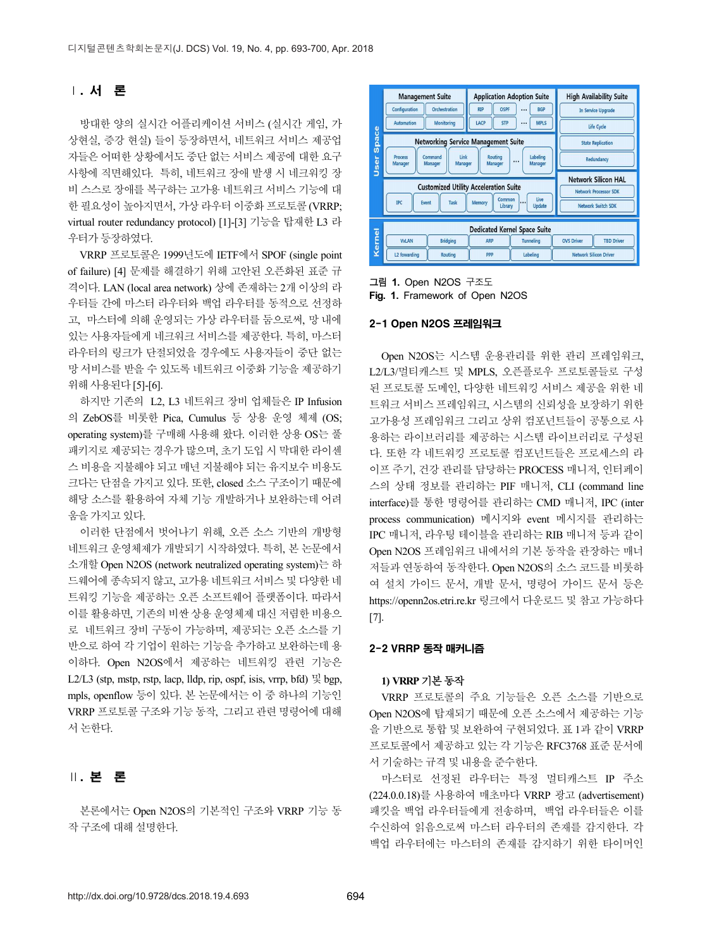## Ⅰ. 서 론

방대한 양의 실시간 어플리케이션 서비스 (실시간 게임, 가방 submation)<br>현실, 증강 현실) 들이 등장하면서, 네트워크 서비스 제공업<br>- 이 이 이 이 기능이 있습니다. 이 기능 기능 등 100ml mini 상현실, 증강 현실) 들이 등장하면서, 네트워크 서비스 제공업 Tack Management Suite 자들은 어떠한 상황에서도 중단 없는 서비스 제공에 대한 요구 1990 mosss<br>사하에 지며체이다. 특히 네트의ㅋ 자애 박새 시 네ㅋ의키 자 사항에 직면해있다. 특히, 네트워크 장애 발생 시 네크워킹 장 비 스스로 장애를 복구하는 고가용 네트워크 서비스 기능에 대 한 필요성이 높아지면서, 가상 라우터 이중화 프로토콜 (VRRP; virtual router redundancy protocol) [1]-[3] 기능을 탑재한 L3 라 우터가 등장하였다. VRRP 프로토콜은 1999년도에 IETF에서 SPOF (single point

of failure) [4] 문제를 해결하기 위해 고안된 오픈화된 표준 규 격이다. LAN (local area network) 상에 존재하는 2개 이상의 라 우터들 간에 마스터 라우터와 백업 라우터를 동적으로 선정하 고, 마스터에 의해 운영되는 가상 라우터를 둠으로써, 망 내에 있는 사용자들에게 네크워크 서비스를 제공한다. 특히, 마스터 라우터의 링크가 단절되었을 경우에도 사용자들이 중단 없는 망 서비스를 받을 수 있도록 네트워크 이중화 기능을 제공하기 위해 사용된다 [5]-[6].

하지만 기존의 L2, L3 네트워크 장비 업체들은 IP Infusion 의 ZebOS를 비롯한 Pica, Cumulus 등 상용 운영 체제 (OS; operating system)를 구매해 사용해 왔다. 이러한 상용 OS는 풀 패키지로 제공되는 경우가 많으며, 초기 도입 시 막대한 라이센 스 비용을 지불해야 되고 매년 지불해야 되는 유지보수 비용도 크다는 단점을 가지고 있다. 또한, closed 소스 구조이기 때문에 해당 소스를 활용하여 자체 기능 개발하거나 보완하는데 어려 움을 가지고 있다.

이러한 단점에서 벗어나기 위해, 오픈 소스 기반의 개방형 네트워크 운영체제가 개발되기 시작하였다. 특히, 본 논문에서 소개할 Open N2OS (network neutralized operating system)는 하 드웨어에 종속되지 않고, 고가용 네트워크 서비스 및 다양한 네 트워킹 기능을 제공하는 오픈 소프트웨어 플랫폼이다. 따라서 이를 활용하면, 기존의 비싼 상용 운영체제 대신 저렴한 비용으 로 네트워크 장비 구동이 가능하며, 제공되는 오픈 소스를 기 반으로 하여 각 기업이 원하는 기능을 추가하고 보완하는데 용 이하다. Open N2OS에서 제공하는 네트워킹 관련 기능은 L2/L3 (stp, mstp, rstp, lacp, lldp, rip, ospf, isis, vrrp, bfd)  $\frac{11}{5}$  bgp, mpls, openflow 등이 있다. 본 논문에서는 이 중 하나의 기능인 VRRP 프로토콜 구조와 기능 동작, 그리고 관련 명령어에 대해 서 논한다.

## Ⅱ. 본 론

본론에서는 Open N2OS의 기본적인 구조와 VRRP 기능 동 작 구조에 대해 설명한다.



그림 **1.** Open N2OS 구조도 **Fig. 1.** Framework of Open N2OS

#### 2-1 Open N2OS 프레임워크

Open N2OS는 시스템 운용관리를 위한 관리 프레임워크, L2/L3/멀티캐스트 및 MPLS, 오픈플로우 프로토콜들로 구성 된 프로토콜 도메인, 다양한 네트워킹 서비스 제공을 위한 네 트워크 서비스 프레임워크, 시스템의 신뢰성을 보장하기 위한 고가용성 프레임워크 그리고 상위 컴포넌트들이 공통으로 사 용하는 라이브러리를 제공하는 시스템 라이브러리로 구성된 다. 또한 각 네트워킹 프로토콜 컴포넌트들은 프로세스의 라 이프 주기, 건강 관리를 담당하는 PROCESS 매니저, 인터페이 스의 상태 정보를 관리하는 PIF 매니저, CLI (command line interface)를 통한 명령어를 관리하는 CMD 매니저, IPC (inter process communication) 메시지와 event 메시지를 관리하는 IPC 매니저, 라우팅 테이블을 관리하는 RIB 매니저 등과 같이 Open N2OS 프레임워크 내에서의 기본 동작을 관장하는 매너 저들과 연동하여 동작한다. Open N2OS의 소스 코드를 비롯하 여 설치 가이드 문서, 개발 문서, 명령어 가이드 문서 등은 https://openn2os.etri.re.kr 링크에서 다운로드 및 참고 가능하다 [7].

## 2-2 VRRP 동작 매커니즘

### **1) VRRP** 기본 동작

VRRP 프로토콜의 주요 기능들은 오픈 소스를 기반으로 Open N2OS에 탑재되기 때문에 오픈 소스에서 제공하는 기능 을 기반으로 통합 및 보완하여 구현되었다. 표 1과 같이 VRRP 프로토콜에서 제공하고 있는 각 기능은 RFC3768 표준 문서에 서 기술하는 규격 및 내용을 준수한다.

마스터로 선정된 라우터는 특정 멀티캐스트 IP 주소 (224.0.0.18)를 사용하여 매초마다 VRRP 광고 (advertisement) 패킷을 백업 라우터들에게 전송하며, 백업 라우터들은 이를 수신하여 읽음으로써 마스터 라우터의 존재를 감지한다. 각 백업 라우터에는 마스터의 존재를 감지하기 위한 타이머인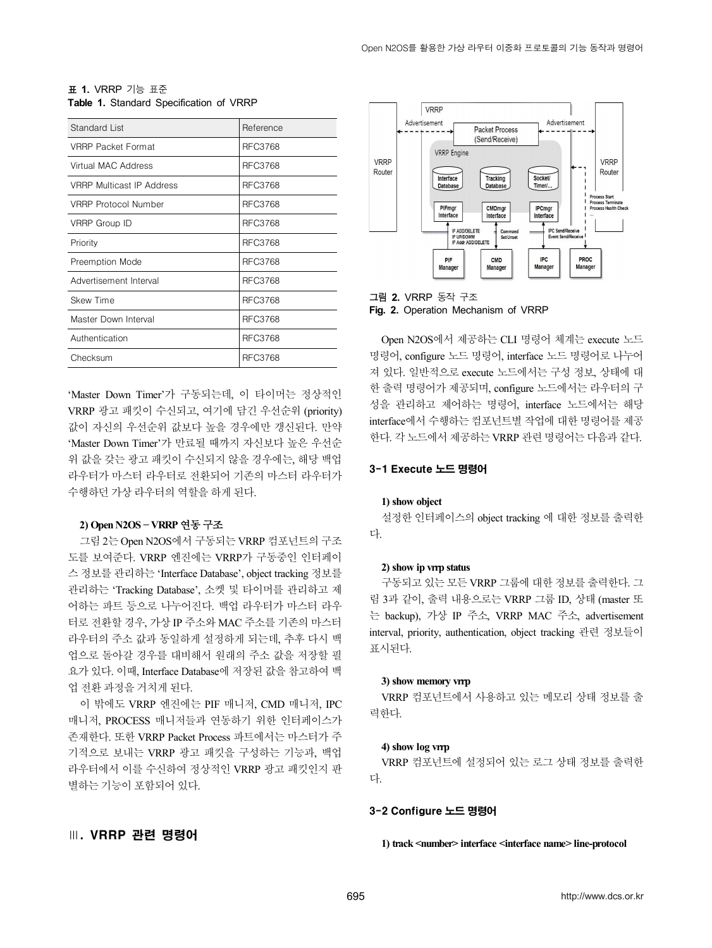| Standard List                    | Reference      |
|----------------------------------|----------------|
| <b>VRRP Packet Format</b>        | <b>RFC3768</b> |
| Virtual MAC Address              | <b>RFC3768</b> |
| <b>VRRP Multicast IP Address</b> | <b>RFC3768</b> |
| <b>VRRP Protocol Number</b>      | <b>RFC3768</b> |
| VRRP Group ID                    | <b>RFC3768</b> |
| Priority                         | <b>RFC3768</b> |
| Preemption Mode                  | <b>RFC3768</b> |
| Advertisement Interval           | <b>RFC3768</b> |
| <b>Skew Time</b>                 | <b>RFC3768</b> |
| Master Down Interval             | <b>RFC3768</b> |
| Authentication                   | <b>RFC3768</b> |
| Checksum                         | <b>RFC3768</b> |

| <b>표 1. VRRP</b> 기능 표준                  |  |
|-----------------------------------------|--|
| Table 1. Standard Specification of VRRP |  |

'Master Down Timer'가 구동되는데, 이 타이머는 정상적인 VRRP 광고 패킷이 수신되고, 여기에 담긴 우선순위 (priority) 값이 자신의 우선순위 값보다 높을 경우에만 갱신된다. 만약 'Master Down Timer'가 만료될 때까지 자신보다 높은 우선순 위 값을 갖는 광고 패킷이 수신되지 않을 경우에는, 해당 백업 라우터가 마스터 라우터로 전환되어 기존의 마스터 라우터가 수행하던 가상 라우터의 역할을 하게 된다.

#### **2) Open N2OS** – **VRRP** 연동 구조

그림 2는 Open N2OS에서 구동되는 VRRP 컴포넌트의 구조 도를 보여준다. VRRP 엔진에는 VRRP가 구동중인 인터페이 스 정보를 관리하는 'Interface Database', object tracking 정보를 관리하는 'Tracking Database', 소켓 및 타이머를 관리하고 제 어하는 파트 등으로 나누어진다. 백업 라우터가 마스터 라우 터로 전환할 경우, 가상 IP 주소와 MAC 주소를 기존의 마스터 라우터의 주소 값과 동일하게 설정하게 되는데, 추후 다시 백 업으로 돌아갈 경우를 대비해서 원래의 주소 값을 저장할 필 요가 있다. 이때, Interface Database에 저장된 값을 참고하여 백 업 전환 과정을 거치게 된다.

이 밖에도 VRRP 엔진에는 PIF 매니저, CMD 매니저, IPC 매니저, PROCESS 매니저들과 연동하기 위한 인터페이스가 존재한다. 또한 VRRP Packet Process 파트에서는 마스터가 주 기적으로 보내는 VRRP 광고 패킷을 구성하는 기능과, 백업 라우터에서 이를 수신하여 정상적인 VRRP 광고 패킷인지 판 별하는 기능이 포함되어 있다.

## Ⅲ. VRRP 관련 명령어



그림 **2.** VRRP 동작 구조 **Fig. 2.** Operation Mechanism of VRRP

Open N2OS에서 제공하는 CLI 명령어 체계는 execute 노드 명령어, configure 노드 명령어, interface 노드 명령어로 나누어 져 있다. 일반적으로 execute 노드에서는 구성 정보, 상태에 대 한 출력 명령어가 제공되며, configure 노드에서는 라우터의 구 성을 관리하고 제어하는 명령어, interface 노드에서는 해당 interface에서 수행하는 컴포넌트별 작업에 대한 명령어를 제공 한다. 각 노드에서 제공하는 VRRP 관련 명령어는 다음과 같다.

## 3-1 Execute 노드 명령어

#### **1) show object**

설정한 인터페이스의 object tracking 에 대한 정보를 출력한 다.

#### **2) show ip vrrp status**

구동되고 있는 모든 VRRP 그룹에 대한 정보를 출력한다. 그 림 3과 같이, 출력 내용으로는 VRRP 그룹 ID, 상태 (master 또 는 backup), 가상 IP 주소, VRRP MAC 주소, advertisement interval, priority, authentication, object tracking 관련 정보들이 표시된다.

#### **3) show memory vrrp**

VRRP 컴포넌트에서 사용하고 있는 메모리 상태 정보를 출 력한다.

#### **4) show log vrrp**

VRRP 컴포넌트에 설정되어 있는 로그 상태 정보를 출력한 다.

#### 3-2 Configure 노드 명령어

**1) track <number> interface <interface name> line-protocol**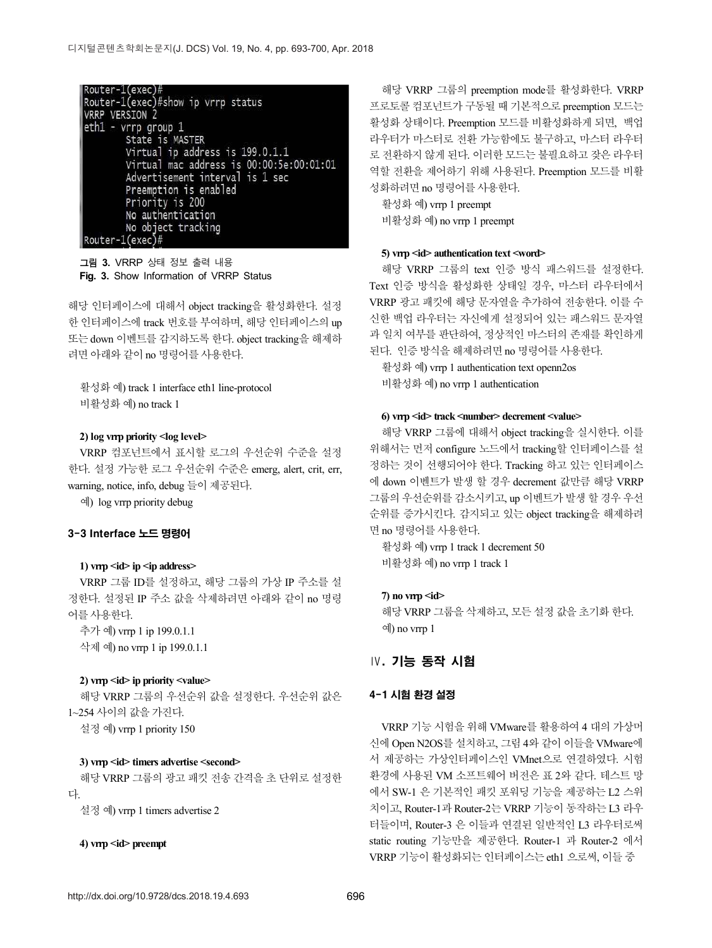Router-1(exec)#<br>Router-1(exec)#show ip vrrp status<br>NGRR VERSION 3 **VRRP VERSION 2** eth1 - vrrp group 1 State is MASTER Virtual ip address is 199.0.1.1 Virtual mac address is 00:00:5e:00:01:01 Advertisement interval is 1 sec Preemption is enabled Priority is 200 No authentication No object tracking  $\vert$ Router-1(exec)#

그림 **3.** VRRP 상태 정보 출력 내용 **Fig. 3.** Show Information of VRRP Status

해당 인터페이스에 대해서 object tracking을 활성화한다. 설정 한 인터페이스에 track 번호를 부여하며, 해당 인터페이스의 up 또는 down 이벤트를 감지하도록 한다. object tracking을 해제하 려면 아래와 같이 no 명령어를 사용한다.

활성화 예) track 1 interface eth1 line-protocol 비활성화 예) no track 1

#### **2) log vrrp priority <log level>**

VRRP 컴포넌트에서 표시할 로그의 우선순위 수준을 설정 한다. 설정 가능한 로그 우선순위 수준은 emerg, alert, crit, err, warning, notice, info, debug 들이 제공된다.

예) log vrrp priority debug

#### 3-3 Interface 노드 명령어

#### **1) vrrp <id> ip <ip address>**

VRRP 그룹 ID를 설정하고, 해당 그룹의 가상 IP 주소를 설 정한다. 설정된 IP 주소 값을 삭제하려면 아래와 같이 no 명령 어를 사용한다.

추가 예) vrrp 1 ip 199.0.1.1 삭제 예) no vrrp 1 ip 199.0.1.1

#### **2) vrrp <id> ip priority <value>**

해당 VRRP 그룹의 우선순위 값을 설정한다. 우선순위 값은 1~254 사이의 값을 가진다.

설정 예) vrrp 1 priority 150

#### **3) vrrp <id> timers advertise <second>**

해당 VRRP 그룹의 광고 패킷 전송 간격을 초 단위로 설정한 다.

설정 예) vrrp 1 timers advertise 2

#### **4) vrrp <id> preempt**

해당 VRRP 그룹의 preemption mode를 활성화한다. VRRP 프로토콜 컴포넌트가 구동될 때 기본적으로 preemption 모드는 활성화 상태이다. Preemption 모드를 비활성화하게 되면, 백업 라우터가 마스터로 전환 가능함에도 불구하고, 마스터 라우터 로 전환하지 않게 된다. 이러한 모드는 불필요하고 잦은 라우터 역할 전환을 제어하기 위해 사용된다. Preemption 모드를 비활 성화하려면 no 명령어를 사용한다.

활성화 예) vrrp 1 preempt 비활성화 예) no vrrp 1 preempt

#### **5) vrrp <id> authentication text <word>**

해당 VRRP 그룹의 text 인증 방식 패스워드를 설정한다. Text 인증 방식을 활성화한 상태일 경우, 마스터 라우터에서 VRRP 광고 패킷에 해당 문자열을 추가하여 전송한다. 이를 수 신한 백업 라우터는 자신에게 설정되어 있는 패스워드 문자열 과 일치 여부를 판단하여, 정상적인 마스터의 존재를 확인하게 된다. 인증 방식을 해제하려면 no 명령어를 사용한다.

활성화 예) vrrp 1 authentication text openn2os 비활성화 예) no vrrp 1 authentication

#### **6) vrrp <id> track <number> decrement <value>**

해당 VRRP 그룹에 대해서 object tracking을 실시한다. 이를 위해서는 먼저 configure 노드에서 tracking할 인터페이스를 설 정하는 것이 선행되어야 한다. Tracking 하고 있는 인터페이스 에 down 이벤트가 발생 할 경우 decrement 값만큼 해당 VRRP 그룹의 우선순위를 감소시키고, up 이벤트가 발생 할 경우 우선 순위를 증가시킨다. 감지되고 있는 object tracking을 해제하려 면 no 명령어를 사용한다.

활성화 예) vrrp 1 track 1 decrement 50 비활성화 예) no vrrp 1 track 1

#### **7) no vrrp <id>**

해당 VRRP 그룹을 삭제하고, 모든 설정 값을 초기화 한다. 예) no vrrp 1

## Ⅳ. 기능 동작 시험

#### 4-1 시험 환경 설정

VRRP 기능 시험을 위해 VMware를 활용하여 4 대의 가상머 신에 Open N2OS를 설치하고, 그림 4와 같이 이들을 VMware에 서 제공하는 가상인터페이스인 VMnet으로 연결하였다. 시험 환경에 사용된 VM 소프트웨어 버전은 표 2와 같다. 테스트 망 에서 SW-1 은 기본적인 패킷 포워딩 기능을 제공하는 L2 스위 치이고, Router-1과 Router-2는 VRRP 기능이 동작하는 L3 라우 터들이며, Router-3 은 이들과 연결된 일반적인 L3 라우터로써 static routing 기능만을 제공한다. Router-1 과 Router-2 에서 VRRP 기능이 활성화되는 인터페이스는 eth1 으로써, 이들 중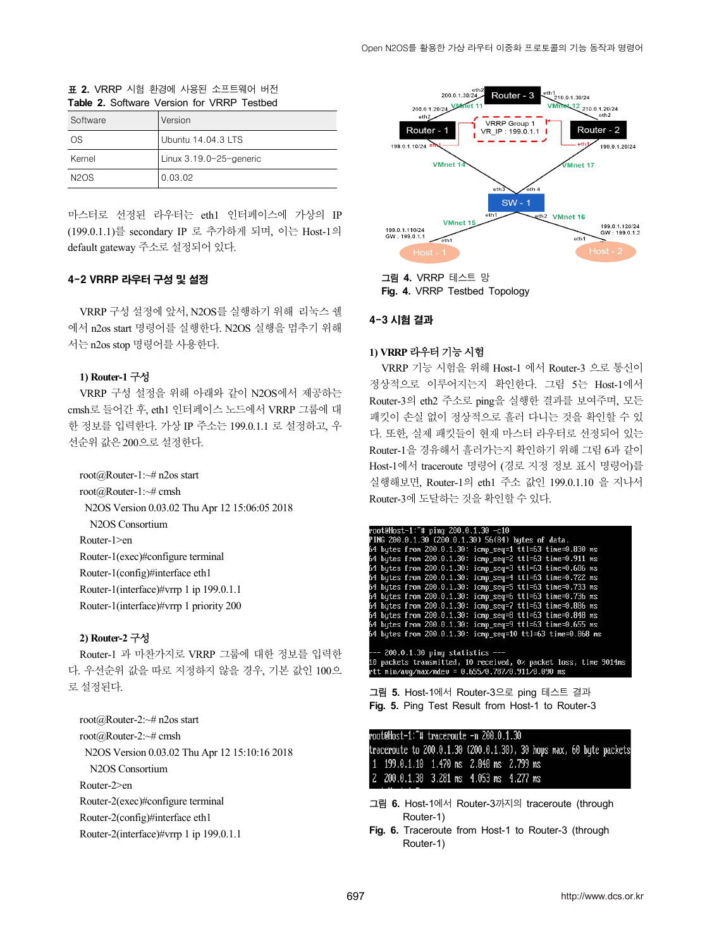#### 표 **2.** VRRP 시험 환경에 사용된 소프트웨어 버전 **Table 2.** Software Version for VRRP Testbed

| Software    | l Version               |
|-------------|-------------------------|
| OS.         | l Ubuntu 14.04.3 LTS    |
| Kernel      | Linux 3.19.0-25-generic |
| <b>N2OS</b> | 0.03.02                 |

마스터로 선정된 라우터는 eth1 인터페이스에 가상의 IP (199.0.1.1)를 secondary IP 로 추가하게 되며, 이는 Host-1의 default gateway 주소로 설정되어 있다.

## 4-2 VRRP 라우터 구성 및 설정

VRRP 구성 설정에 앞서, N2OS를 실행하기 위해 리눅스 쉘 에서 n2os start 명령어를 실행한다. N2OS 실행을 멈추기 위해 서는 n2os stop 명령어를 사용한다.

#### **1) Router-1** 구성

VRRP 구성 설정을 위해 아래와 같이 N2OS에서 제공하는 cmsh로 들어간 후, eth1 인터페이스 노드에서 VRRP 그룹에 대 한 정보를 입력한다. 가상 IP 주소는 199.0.1.1 로 설정하고, 우 선순위 값은 200으로 설정한다.

root@Router-1:~# n2os start root@Router-1:~# cmsh N2OS Version 0.03.02 Thu Apr 12 15:06:05 2018 N2OS Consortium Router-1>en Router-1(exec)#configure terminal Router-1(config)#interface eth1 Router-1(interface)#vrrp 1 ip 199.0.1.1 Router-1(interface)#vrrp 1 priority 200

## **2) Router-2** 구성

Router-1 과 마찬가지로 VRRP 그룹에 대한 정보를 입력한 다. 우선순위 값을 따로 지정하지 않을 경우, 기본 값인 100으 로 설정된다.

root@Router-2:~# n2os start root@Router-2:~# cmsh N2OS Version 0.03.02 Thu Apr 12 15:10:16 2018 N2OS Consortium Router-2>en Router-2(exec)#configure terminal Router-2(config)#interface eth1 Router-2(interface)#vrrp 1 ip 199.0.1.1



그림 **4.** VRRP 테스트 망 **Fig. 4.** VRRP Testbed Topology

## 4-3 시험 결과

### **1) VRRP** 라우터 기능 시험

VRRP 기능 시험을 위해 Host-1 에서 Router-3 으로 통신이 정상적으로 이루어지는지 확인한다. 그림 5는 Host-1에서 Router-3의 eth2 주소로 ping을 실행한 결과를 보여주며, 모든 패킷이 손실 없이 정상적으로 흘러 다니는 것을 확인할 수 있 다. 또한, 실제 패킷들이 현재 마스터 라우터로 선정되어 있는 Router-1을 경유해서 흘러가는지 확인하기 위해 그림 6과 같이 Host-1에서 traceroute 명령어 (경로 지정 정보 표시 명령어)를 실행해보면, Router-1의 eth1 주소 값인 199.0.1.10 을 지나서 Router-3에 도달하는 것을 확인할 수 있다.

| root@Host-1:~# ping 200.0.1.30 -c10                                                                                                                         |
|-------------------------------------------------------------------------------------------------------------------------------------------------------------|
| PING 200.0.1.30 (200.0.1.30) 56(84) bytes of data.                                                                                                          |
| 64 bytes from 200.0.1.30: icmp_seq=1 ttl=63 time=0.830 ms                                                                                                   |
| 64 bytes from 200.0.1.30: icmp_seq=2 ttl=63 time=0.911 ms                                                                                                   |
| 64 bytes from 200.0.1.30: icmp_seq=3 ttl=63 time=0.686 ms                                                                                                   |
| 64 butes from 200.0.1.30: icmp_seq=4 ttl=63 time=0.722 ms                                                                                                   |
| 64 bytes from 200.0.1.30: icmp_seq=5 ttl=63 time=0.733 ms                                                                                                   |
| 64 bytes from 200.0.1.30: icmp_seq=6 ttl=63 time=0.736 ms                                                                                                   |
| 64 butes from 200.0.1.30: icmp seq=7 ttl=63 time=0.886 ms                                                                                                   |
| 64 bytes from 200.0.1.30: icmp_seq=8 ttl=63 time=0.848 ms                                                                                                   |
| 64 bytes from 200.0.1.30: icmp seq=9 ttl=63 time=0.655 ms                                                                                                   |
| 64 butes from 200.0.1.30: icmp seg=10 ttl=63 time=0.868 ms                                                                                                  |
| --- 200.0.1.30 ping statistics ---<br>10 packets transmitted, 10 received, 0% packet loss, time 9014ms<br>rtt min/avq/max/mdev = 0.655/0.787/0.911/0.090 ms |

그림 **5.** Host-1에서 Router-3으로 ping 테스트 결과 **Fig. 5.** Ping Test Result from Host-1 to Router-3

root@Host-1:~# traceroute -n 200.0.1.30 traceroute to 200.0.1.30 (200.0.1.30), 30 hops max, 60 byte packets 1 199.0.1.10 1.470 ms 2.848 ms 2.799 ms 2 200.0.1.30 3.281 ms 4.053 ms 4.277 ms

- 그림 **6.** Host-1에서 Router-3까지의 traceroute (through Router-1)
- **Fig. 6.** Traceroute from Host-1 to Router-3 (through Router-1)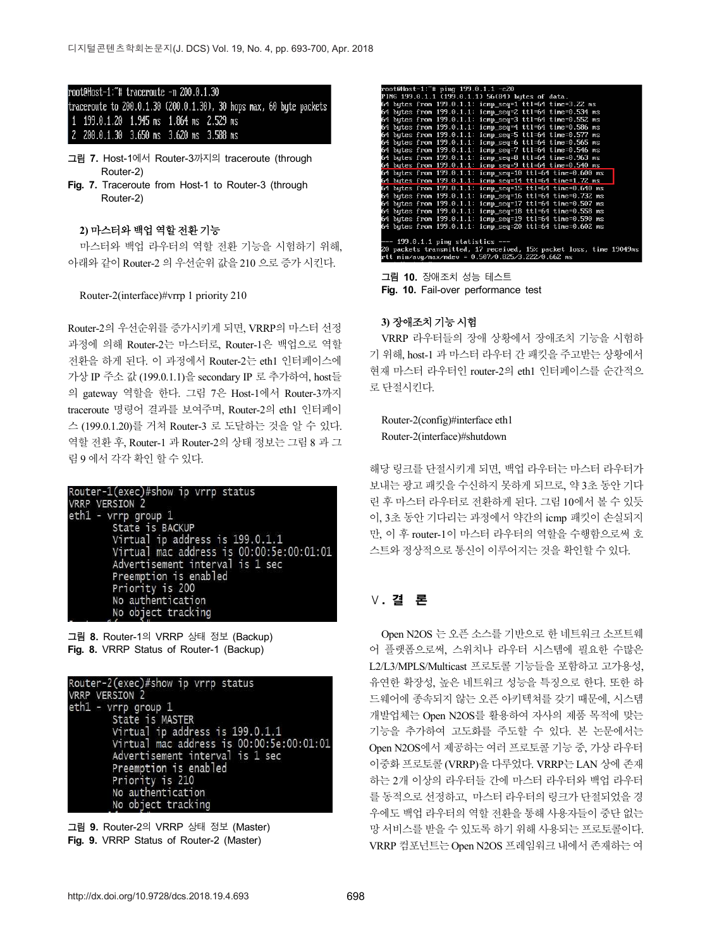#### root@Host-1:"# traceroute -n 200.0.1.30

traceroute to 200.0.1.30 (200.0.1.30), 30 hops max, 60 byte packets 1 199.0.1.20 1.945 ms 1.864 ms 2.529 ms 2 200.0.1.30 3.650 ms 3.620 ms 3.588 ms

- 그림 **7.** Host-1에서 Router-3까지의 traceroute (through Router-2)
- **Fig. 7.** Traceroute from Host-1 to Router-3 (through Router-2)

#### **2)** 마스터와 백업 역할 전환 기능

마스터와 백업 라우터의 역할 전환 기능을 시험하기 위해, 아래와 같이 Router-2 의 우선순위 값을 210 으로 증가 시킨다.<br>Router-2(interface)#vrrp 1 priority 210

Router-2의 우선순위를 증가시키게 되면, VRRP의 마스터 선정 과정에 의해 Router-2는 마스터로, Router-1은 백업으로 역할 전환을 하게 된다. 이 과정에서 Router-2는 eth1 인터페이스에 가상 IP 주소 값 (199.0.1.1)을 secondary IP 로 추가하여, host들 ―― <sup>먼새 마스터</sup> 니<br>이 setong 여천은 천리, 그린 7은 Hot t에서 Perturiz까지 ――로 단절시킨다. 의 gateway 역할을 한다. 그림 7은 Host-1에서 Router-3까지 traceroute 명령어 결과를 보여주며, Router-2의 eth1 인터페이 스 (199.0.1.20)를 거쳐 Router-3 로 도달하는 것을 알 수 있다. 역할 전환 후, Router-1 과 Router-2의 상태 정보는 그림 8 과 그 림 9 에서 각각 확인 할 수 있다.



그림 **8.** Router-1의 VRRP 상태 정보 (Backup) **Fig. 8.** VRRP Status of Router-1 (Backup)



그림 **9.** Router-2의 VRRP 상태 정보 (Master) **Fig. 9.** VRRP Status of Router-2 (Master)

| root@Host-1:~# ping 199.0.1.1 -c20                                                                                     |
|------------------------------------------------------------------------------------------------------------------------|
| PING 199.0.1.1 (199.0.1.1) 56(84) bytes of data.                                                                       |
| 64 bytes from 199.0.1.1: icmp_seq=1 ttl=64 time=3.22 ms                                                                |
| 64 butes from 199.0.1.1: icmp seq=2 ttl=64 time=0.534 ms                                                               |
| 64 butes from 199.0.1.1: icmp seq=3 ttl=64 time=0.552 ms                                                               |
| 64 butes from 199.0.1.1: icmp seq=4 ttl=64 time=0.586 ms                                                               |
| 64 bytes from 199.0.1.1: icmp_seq=5 ttl=64 time=0.577 ms                                                               |
| 64 butes from 199.0.1.1: icmp seq=6 ttl=64 time=0.565 ms                                                               |
| 64 butes from 199.0.1.1: icmp seq=7 ttl=64 time=0.546 ms                                                               |
| 64 bytes from 199.0.1.1: icmp_seq=8 ttl=64 time=0.963 ms                                                               |
| 64 butes from 199.0.1.1: icmp seq=9 ttl=64 <u>time=0.540 ms</u>                                                        |
| 64 butes from 199.0.1.1: icmp_seq=10 ttl=64 time=0.600 ms                                                              |
| 64 butes from 199.0.1.1: icmp seg=14 ttl=64 time=1.72 ms                                                               |
| 64 bytes from 199.0.1.1: icmp_seq=15 ttl=64 time=0.640 ms                                                              |
| 64 bytes from 199.0.1.1: icmp seq=16 ttl=64 time=0.732 ms<br>64 butes from 199.0.1.1: icmp seq=17 ttl=64 time=0.507 ms |
| 64 butes from 199.0.1.1: icmp seq=18 ttl=64 time=0.558 ms                                                              |
| 64 butes from 199.0.1.1: icmp seq=19 ttl=64 time=0.590 ms                                                              |
| 64 butes from 199.0.1.1: icmp seq=20 ttl=64 time=0.602 ms                                                              |
|                                                                                                                        |
| --- 199.0.1.1 ping statistics ---                                                                                      |
| 20 packets transmitted, 17 received, 15% packet loss, time 19049ms                                                     |
| rtt min/avq/max/mdev = 0.507/0.825/3.222/0.662 ms                                                                      |
|                                                                                                                        |

그림 **10.** 장애조치 성능 테스트 Fig. 10. Fail-over performance test

#### **3)** 장애조치 기능 시험

VRRP 라우터들의 장애 상황에서 장애조치 기능을 시험하 기 위해, host-1 과 마스터 라우터 간 패킷을 주고받는 상황에서 현재 마스터 라우터인 router-2의 eth1 인터페이스를 순간적으

Router-2(config)#interface eth1 Router-2(interface)#shutdown

해당 링크를 단절시키게 되면, 백업 라우터는 마스터 라우터가 보내는 광고 패킷을 수신하지 못하게 되므로, 약 3초 동안 기다 린 후 마스터 라우터로 전환하게 된다. 그림 10에서 볼 수 있듯 이, 3초 동안 기다리는 과정에서 약간의 icmp 패킷이 손실되지 만, 이 후 router-1이 마스터 라우터의 역할을 수행함으로써 호 스트와 정상적으로 통신이 이루어지는 것을 확인할 수 있다.

# Ⅴ. 결 론

Open N2OS 는 오픈 소스를 기반으로 한 네트워크 소프트웨 어 플랫폼으로써, 스위치나 라우터 시스템에 필요한 수많은 L2/L3/MPLS/Multicast 프로토콜 기능들을 포함하고 고가용성, 유연한 확장성, 높은 네트워크 성능을 특징으로 한다. 또한 하 드웨어에 종속되지 않는 오픈 아키텍쳐를 갖기 때문에, 시스템 개발업체는 Open N2OS를 활용하여 자사의 제품 목적에 맞는 기능을 추가하여 고도화를 주도할 수 있다. 본 논문에서는 Open N2OS에서 제공하는 여러 프로토콜 기능 중, 가상 라우터 이중화 프로토콜 (VRRP)을 다루었다. VRRP는 LAN 상에 존재 하는 2개 이상의 라우터들 간에 마스터 라우터와 백업 라우터 를 동적으로 선정하고, 마스터 라우터의 링크가 단절되었을 경 우에도 백업 라우터의 역할 전환을 통해 사용자들이 중단 없는 망 서비스를 받을 수 있도록 하기 위해 사용되는 프로토콜이다.<br>VRRP 컴포넌트는 Open N2OS 프레임워크 내에서 존재하는 여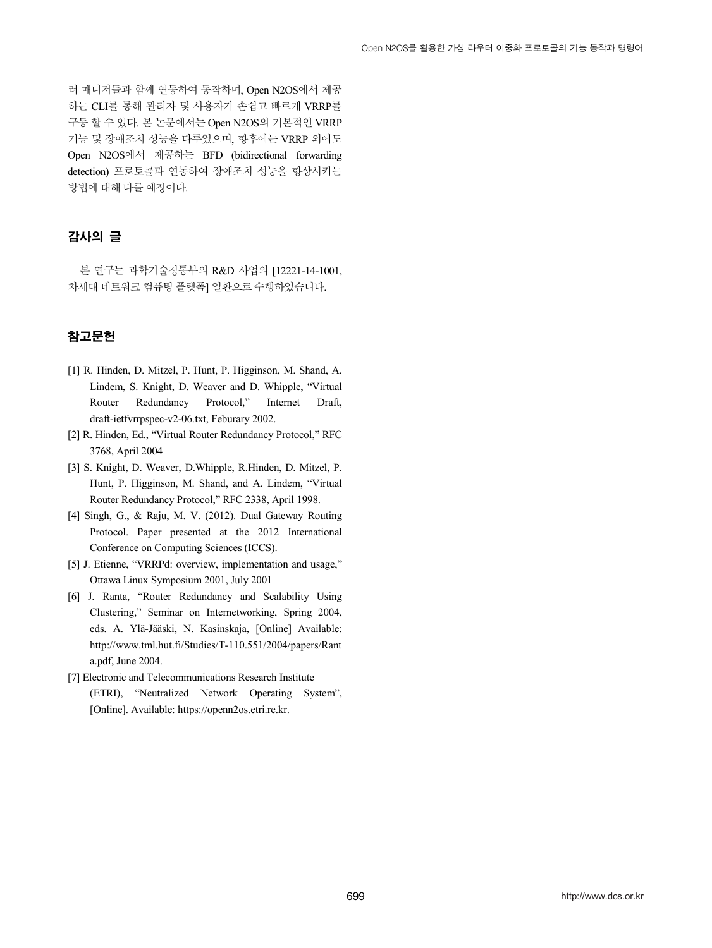러 매니저들과 함께 연동하여 동작하며, Open N2OS에서 제공 하는 CLI를 통해 관리자 및 사용자가 손쉽고 빠르게 VRRP를 구동 할 수 있다. 본 논문에서는 Open N2OS의 기본적인 VRRP 기능 및 장애조치 성능을 다루었으며, 향후에는 VRRP 외에도 Open N2OS에서 제공하는 BFD (bidirectional forwarding detection) 프로토콜과 연동하여 장애조치 성능을 향상시키는 방법에 대해 다룰 예정이다.

# 감사의 글

본 연구는 과학기술정통부의 R&D 사업의 [12221-14-1001, 차세대 네트워크 컴퓨팅 플랫폼] 일환으로 수행하였습니다.

# 참고문헌

- [1] R. Hinden, D. Mitzel, P. Hunt, P. Higginson, M. Shand, A. Lindem, S. Knight, D. Weaver and D. Whipple, "Virtual Router Redundancy Protocol," Internet Draft, draft-ietfvrrpspec-v2-06.txt, Feburary 2002.
- [2] R. Hinden, Ed., "Virtual Router Redundancy Protocol," RFC 3768, April 2004
- [3] S. Knight, D. Weaver, D.Whipple, R.Hinden, D. Mitzel, P. Hunt, P. Higginson, M. Shand, and A. Lindem, "Virtual Router Redundancy Protocol," RFC 2338, April 1998.
- [4] Singh, G., & Raju, M. V. (2012). Dual Gateway Routing Protocol. Paper presented at the 2012 International Conference on Computing Sciences (ICCS).
- [5] J. Etienne, "VRRPd: overview, implementation and usage," Ottawa Linux Symposium 2001, July 2001
- [6] J. Ranta, "Router Redundancy and Scalability Using Clustering," Seminar on Internetworking, Spring 2004, eds. A. Ylä-Jääski, N. Kasinskaja, [Online] Available: http://www.tml.hut.fi/Studies/T-110.551/2004/papers/Rant a.pdf, June 2004.
- [7] Electronic and Telecommunications Research Institute (ETRI), "Neutralized Network Operating System", [Online]. Available: https://openn2os.etri.re.kr.